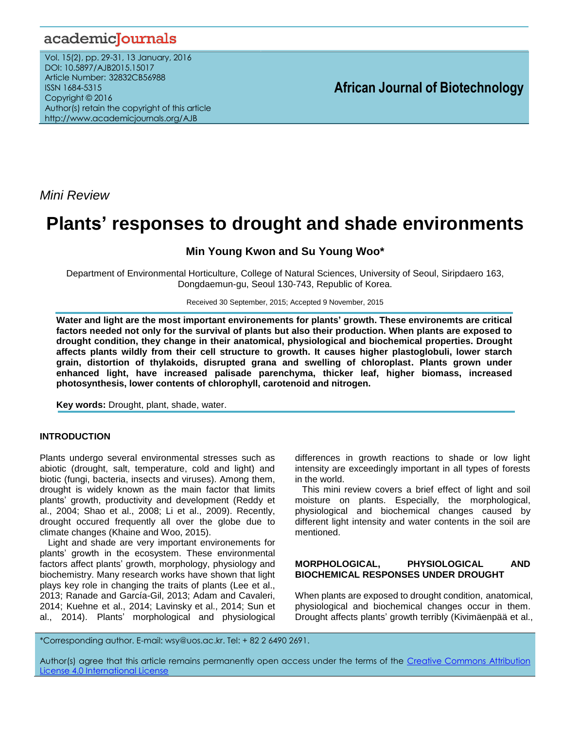## academicJournals

Vol. 15(2), pp. 29-31, 13 January, 2016 DOI: 10.5897/AJB2015.15017 Article Number: 32832CB56988 ISSN 1684-5315 Copyright © 2016 Author(s) retain the copyright of this article http://www.academicjournals.org/AJB

**African Journal of Biotechnology**

*Mini Review*

# **Plants' responses to drought and shade environments**

### **Min Young Kwon and Su Young Woo\***

Department of Environmental Horticulture, College of Natural Sciences, University of Seoul, Siripdaero 163, Dongdaemun-gu, Seoul 130-743, Republic of Korea.

Received 30 September, 2015; Accepted 9 November, 2015

**Water and light are the most important environements for plants' growth. These environemts are critical factors needed not only for the survival of plants but also their production. When plants are exposed to drought condition, they change in their anatomical, physiological and biochemical properties. Drought affects plants wildly from their cell structure to growth. It causes higher plastoglobuli, lower starch grain, distortion of thylakoids, disrupted grana and swelling of chloroplast. Plants grown under enhanced light, have increased palisade parenchyma, thicker leaf, higher biomass, increased photosynthesis, lower contents of chlorophyll, carotenoid and nitrogen.**

**Key words:** Drought, plant, shade, water.

#### **INTRODUCTION**

Plants undergo several environmental stresses such as abiotic (drought, salt, temperature, cold and light) and biotic (fungi, bacteria, insects and viruses). Among them, drought is widely known as the main factor that limits plants' growth, productivity and development (Reddy et al., 2004; Shao et al., 2008; Li et al., 2009). Recently, drought occured frequently all over the globe due to climate changes (Khaine and Woo, 2015).

Light and shade are very important environements for plants' growth in the ecosystem. These environmental factors affect plants' growth, morphology, physiology and biochemistry. Many research works have shown that light plays key role in changing the traits of plants (Lee et al., 2013; Ranade and García-Gil, 2013; [Adam and](http://treephys.oxfordjournals.org/search?author1=Adam+P.+Coble&sortspec=date&submit=Submit) [Cavaleri,](http://treephys.oxfordjournals.org/search?author1=Molly+A.+Cavaleri&sortspec=date&submit=Submit) 2014; Kuehne et al., 2014; [Lavinsky](http://link.springer.com/search?facet-author=%22A.+O.+Lavinsky%22) et al., 2014; Sun et al., 2014). Plants' morphological and physiological

differences in growth reactions to shade or low light intensity are exceedingly important in all types of forests in the world.

This mini review covers a brief effect of light and soil moisture on plants. Especially, the morphological, physiological and biochemical changes caused by different light intensity and water contents in the soil are mentioned.

#### **MORPHOLOGICAL, PHYSIOLOGICAL AND BIOCHEMICAL RESPONSES UNDER DROUGHT**

When plants are exposed to drought condition, anatomical, physiological and biochemical changes occur in them. Drought affects plants' growth terribly (Kivimäenpää et al.,

\*Corresponding author. E-mail: wsy@uos.ac.kr. Tel: + 82 2 6490 2691.

Author(s) agree that this article remains permanently open access under the terms of the [Creative Commons Attribution](http://creativecommons.org/licenses/by/4.0/deed.en_US)  [License 4.0 International License](http://creativecommons.org/licenses/by/4.0/deed.en_US)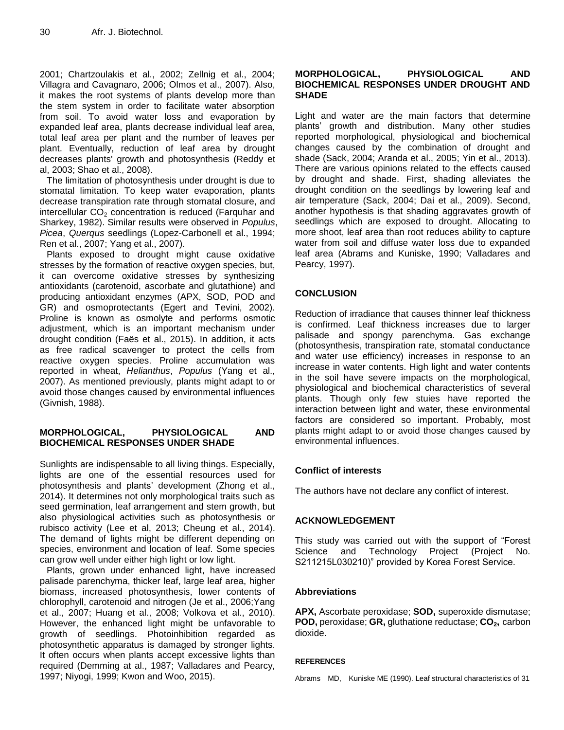2001; Chartzoulakis et al., 2002; Zellnig et al., 2004; Villagra and Cavagnaro, 2006; Olmos et al., 2007). Also, it makes the root systems of plants develop more than the stem system in order to facilitate water absorption from soil. To avoid water loss and evaporation by expanded leaf area, plants decrease individual leaf area, total leaf area per plant and the number of leaves per plant. Eventually, reduction of leaf area by drought decreases plants' growth and photosynthesis (Reddy et al, 2003; Shao et al., 2008).

The limitation of photosynthesis under drought is due to stomatal limitation. To keep water evaporation, plants decrease transpiration rate through stomatal closure, and intercellular  $CO<sub>2</sub>$  concentration is reduced (Farquhar and Sharkey, 1982). Similar results were observed in *Populus*, *Picea*, *Querqus* seedlings (Lopez-Carbonell et al., 1994; Ren et al., 2007; Yang et al., 2007).

Plants exposed to drought might cause oxidative stresses by the formation of reactive oxygen species, but, it can overcome oxidative stresses by synthesizing antioxidants (carotenoid, ascorbate and glutathione) and producing antioxidant enzymes (APX, SOD, POD and GR) and osmoprotectants (Egert and Tevini, 2002). Proline is known as osmolyte and performs osmotic adjustment, which is an important mechanism under drought condition [\(Faës](http://link.springer.com/search?facet-author=%22Pascal+Fa%C3%ABs%22) et al., 2015). In addition, it acts as free radical scavenger to protect the cells from reactive oxygen species. Proline accumulation was reported in wheat, *Helianthus*, *Populus* (Yang et al., 2007). As mentioned previously, plants might adapt to or avoid those changes caused by environmental influences (Givnish, 1988).

#### **MORPHOLOGICAL, PHYSIOLOGICAL AND BIOCHEMICAL RESPONSES UNDER SHADE**

Sunlights are indispensable to all living things. Especially, lights are one of the essential resources used for photosynthesis and plants' development (Zhong et al., 2014). It determines not only morphological traits such as seed germination, leaf arrangement and stem growth, but also physiological activities such as photosynthesis or rubisco activity (Lee et al, 2013; Cheung et al., 2014). The demand of lights might be different depending on species, environment and location of leaf. Some species can grow well under either high light or low light.

Plants, grown under enhanced light, have increased palisade parenchyma, thicker leaf, large leaf area, higher biomass, increased photosynthesis, lower contents of chlorophyll, carotenoid and nitrogen (Je et al., 2006;Yang et al., 2007; Huang et al., 2008; Volkova et al., 2010). However, the enhanced light might be unfavorable to growth of seedlings. Photoinhibition regarded as photosynthetic apparatus is damaged by stronger lights. It often occurs when plants accept excessive lights than required (Demming at al., 1987; Valladares and Pearcy, 1997; Niyogi, 1999; Kwon and Woo, 2015).

#### **MORPHOLOGICAL, PHYSIOLOGICAL AND BIOCHEMICAL RESPONSES UNDER DROUGHT AND SHADE**

Light and water are the main factors that determine plants' growth and distribution. Many other studies reported morphological, physiological and biochemical changes caused by the combination of drought and shade (Sack, 2004; Aranda et al., 2005; Yin et al., 2013). There are various opinions related to the effects caused by drought and shade. First, shading alleviates the drought condition on the seedlings by lowering leaf and air temperature (Sack, 2004; Dai et al., 2009). Second, another hypothesis is that shading aggravates growth of seedlings which are exposed to drought. Allocating to more shoot, leaf area than root reduces ability to capture water from soil and diffuse water loss due to expanded leaf area (Abrams and Kuniske, 1990; Valladares and Pearcy, 1997).

#### **CONCLUSION**

Reduction of irradiance that causes thinner leaf thickness is confirmed. Leaf thickness increases due to larger palisade and spongy parenchyma. Gas exchange (photosynthesis, transpiration rate, stomatal conductance and water use efficiency) increases in response to an increase in water contents. High light and water contents in the soil have severe impacts on the morphological, physiological and biochemical characteristics of several plants. Though only few stuies have reported the interaction between light and water, these environmental factors are considered so important. Probably, most plants might adapt to or avoid those changes caused by environmental influences.

#### **Conflict of interests**

The authors have not declare any conflict of interest.

#### **[ACKNOWLEDGEMENT](http://dictionary.reference.com/browse/acknowledgement?s=t)**

This study was carried out with the support of "Forest Science and Technology Project (Project No. S211215L030210)" provided by Korea Forest Service.

#### **Abbreviations**

**APX,** Ascorbate peroxidase; **SOD,** superoxide dismutase; **POD,** peroxidase; **GR,** gluthatione reductase; **CO2,** carbon dioxide.

#### **REFERENCES**

Abrams MD, Kuniske ME (1990). Leaf structural characteristics of 31